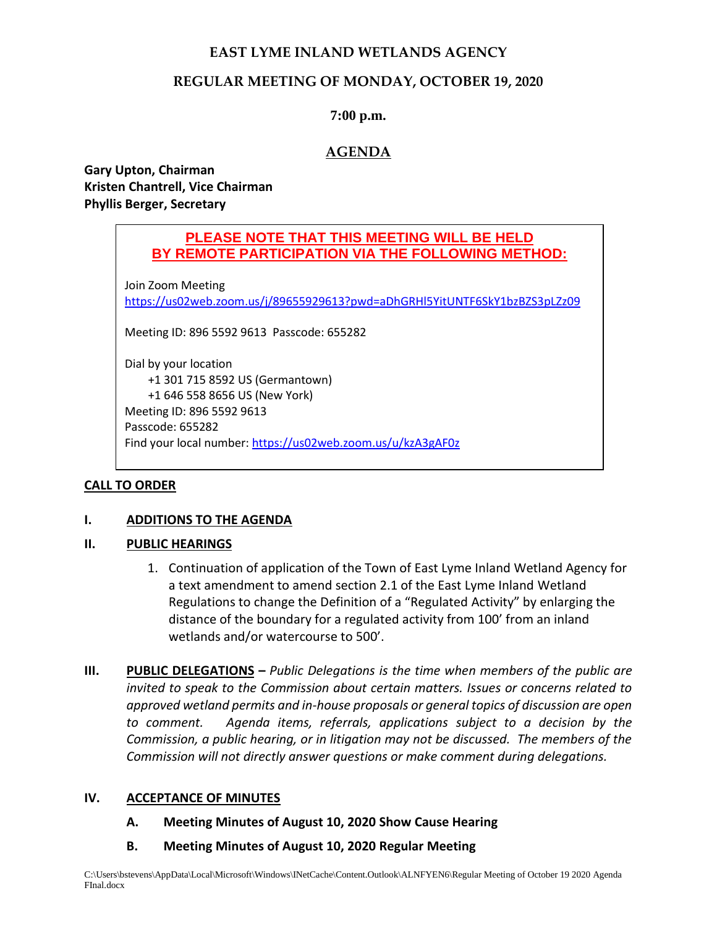# **EAST LYME INLAND WETLANDS AGENCY**

# **REGULAR MEETING OF MONDAY, OCTOBER 19, 2020**

## **7:00 p.m.**

# **AGENDA**

**Gary Upton, Chairman Kristen Chantrell, Vice Chairman Phyllis Berger, Secretary**

# **PLEASE NOTE THAT THIS MEETING WILL BE HELD BY REMOTE PARTICIPATION VIA THE FOLLOWING METHOD:**

Join Zoom Meeting <https://us02web.zoom.us/j/89655929613?pwd=aDhGRHl5YitUNTF6SkY1bzBZS3pLZz09>

Meeting ID: 896 5592 9613 Passcode: 655282

Dial by your location +1 301 715 8592 US (Germantown) +1 646 558 8656 US (New York) Meeting ID: 896 5592 9613 Passcode: 655282 Find your local number:<https://us02web.zoom.us/u/kzA3gAF0z>

## **CALL TO ORDER**

#### **I. ADDITIONS TO THE AGENDA**

## **II. PUBLIC HEARINGS**

- 1. Continuation of application of the Town of East Lyme Inland Wetland Agency for a text amendment to amend section 2.1 of the East Lyme Inland Wetland Regulations to change the Definition of a "Regulated Activity" by enlarging the distance of the boundary for a regulated activity from 100' from an inland wetlands and/or watercourse to 500'.
- **III. PUBLIC DELEGATIONS –** *Public Delegations is the time when members of the public are invited to speak to the Commission about certain matters. Issues or concerns related to approved wetland permits and in-house proposals or general topics of discussion are open to comment. Agenda items, referrals, applications subject to a decision by the Commission, a public hearing, or in litigation may not be discussed. The members of the Commission will not directly answer questions or make comment during delegations.*

## **IV. ACCEPTANCE OF MINUTES**

- **A. Meeting Minutes of August 10, 2020 Show Cause Hearing**
- **B. Meeting Minutes of August 10, 2020 Regular Meeting**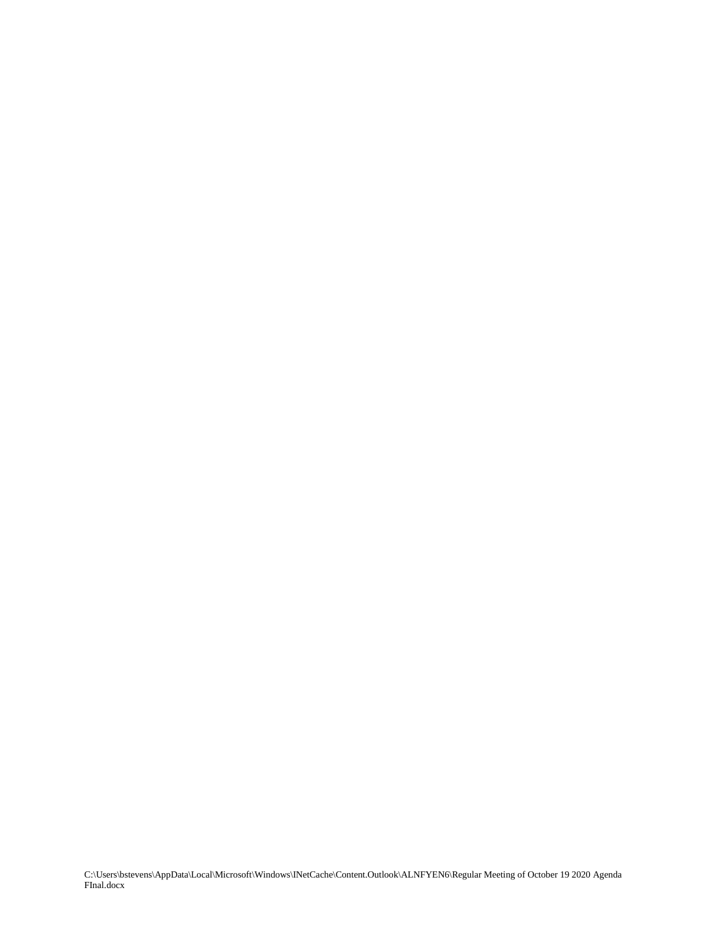C:\Users\bstevens\AppData\Local\Microsoft\Windows\INetCache\Content.Outlook\ALNFYEN6\Regular Meeting of October 19 2020 Agenda FInal.docx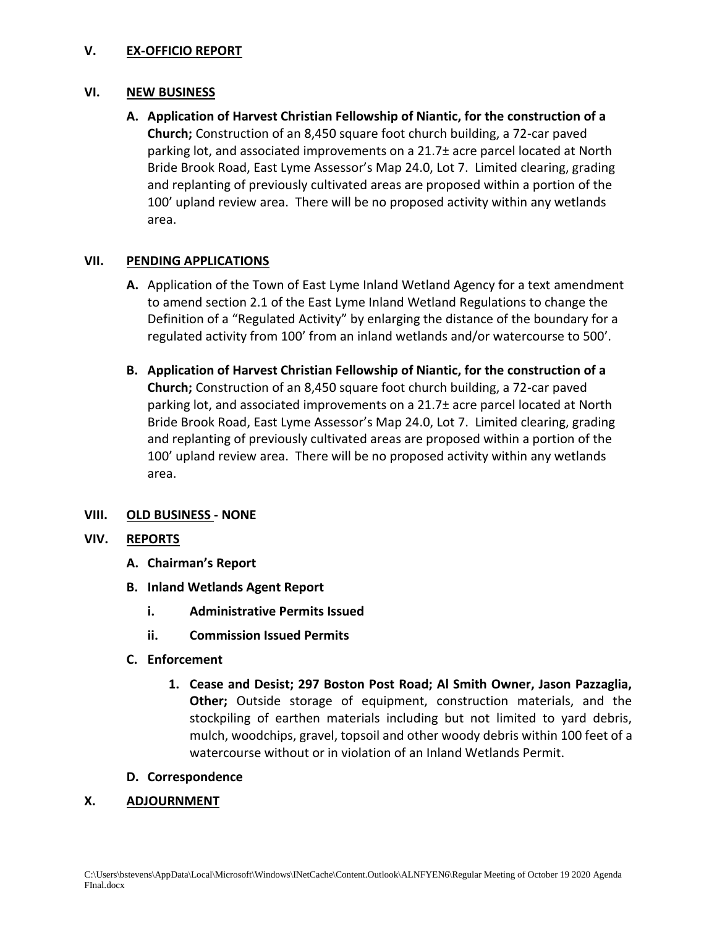#### **V. EX-OFFICIO REPORT**

#### **VI. NEW BUSINESS**

**A. Application of Harvest Christian Fellowship of Niantic, for the construction of a Church;** Construction of an 8,450 square foot church building, a 72-car paved parking lot, and associated improvements on a 21.7± acre parcel located at North Bride Brook Road, East Lyme Assessor's Map 24.0, Lot 7. Limited clearing, grading and replanting of previously cultivated areas are proposed within a portion of the 100' upland review area. There will be no proposed activity within any wetlands area.

### **VII. PENDING APPLICATIONS**

- **A.** Application of the Town of East Lyme Inland Wetland Agency for a text amendment to amend section 2.1 of the East Lyme Inland Wetland Regulations to change the Definition of a "Regulated Activity" by enlarging the distance of the boundary for a regulated activity from 100' from an inland wetlands and/or watercourse to 500'.
- **B. Application of Harvest Christian Fellowship of Niantic, for the construction of a Church;** Construction of an 8,450 square foot church building, a 72-car paved parking lot, and associated improvements on a 21.7± acre parcel located at North Bride Brook Road, East Lyme Assessor's Map 24.0, Lot 7. Limited clearing, grading and replanting of previously cultivated areas are proposed within a portion of the 100' upland review area. There will be no proposed activity within any wetlands area.

#### **VIII. OLD BUSINESS - NONE**

#### **VIV. REPORTS**

- **A. Chairman's Report**
- **B. Inland Wetlands Agent Report**
	- **i. Administrative Permits Issued**
	- **ii. Commission Issued Permits**
- **C. Enforcement**
	- **1. Cease and Desist; 297 Boston Post Road; Al Smith Owner, Jason Pazzaglia, Other;** Outside storage of equipment, construction materials, and the stockpiling of earthen materials including but not limited to yard debris, mulch, woodchips, gravel, topsoil and other woody debris within 100 feet of a watercourse without or in violation of an Inland Wetlands Permit.
- **D. Correspondence**

#### **X. ADJOURNMENT**